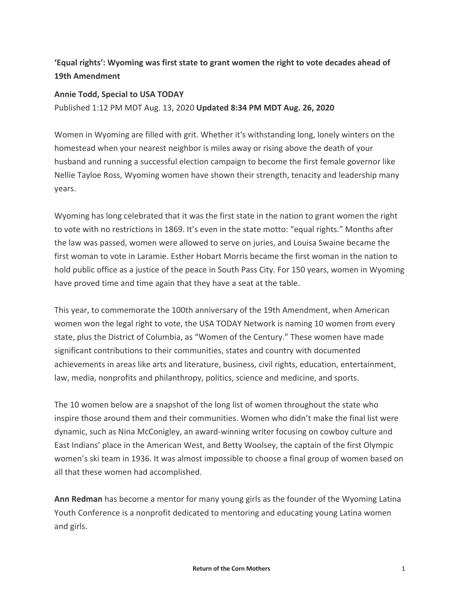## **'Equal rights': Wyoming was first state to grant women the right to vote decades ahead of 19th Amendment**

## **Annie Todd, Special to USA TODAY**

Published 1:12 PM MDT Aug. 13, 2020 **Updated 8:34 PM MDT Aug. 26, 2020**

Women in Wyoming are filled with grit. Whether it's withstanding long, lonely winters on the homestead when your nearest neighbor is miles away or rising above the death of your husband and running a successful election campaign to become the first female governor like Nellie Tayloe Ross, Wyoming women have shown their strength, tenacity and leadership many years.

Wyoming has long celebrated that it was the first state in the nation to grant women the right to vote with no restrictions in 1869. It's even in the state motto: "equal rights." Months after the law was passed, women were allowed to serve on juries, and Louisa Swaine became the first woman to vote in Laramie. Esther Hobart Morris became the first woman in the nation to hold public office as a justice of the peace in South Pass City. For 150 years, women in Wyoming have proved time and time again that they have a seat at the table.

This year, to commemorate the 100th anniversary of the 19th Amendment, when American women won the legal right to vote, the USA TODAY Network is naming 10 women from every state, plus the District of Columbia, as "Women of the Century." These women have made significant contributions to their communities, states and country with documented achievements in areas like arts and literature, business, civil rights, education, entertainment, law, media, nonprofits and philanthropy, politics, science and medicine, and sports.

The 10 women below are a snapshot of the long list of women throughout the state who inspire those around them and their communities. Women who didn't make the final list were dynamic, such as Nina McConigley, an award-winning writer focusing on cowboy culture and East Indians' place in the American West, and Betty Woolsey, the captain of the first Olympic women's ski team in 1936. It was almost impossible to choose a final group of women based on all that these women had accomplished.

**Ann Redman** has become a mentor for many young girls as the founder of the Wyoming Latina Youth Conference is a nonprofit dedicated to mentoring and educating young Latina women and girls.